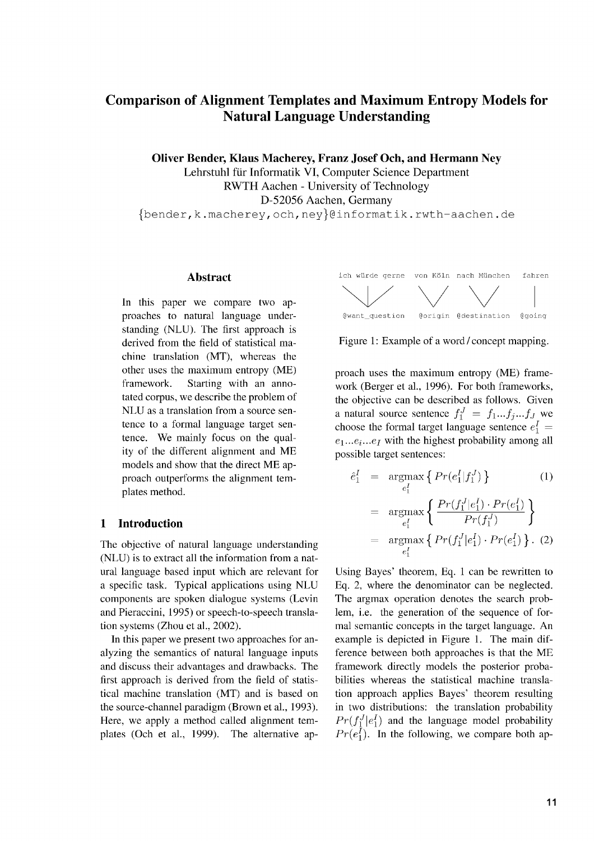# **Comparison of Alignment Templates and Maximum Entropy Models for Natural Language Understanding**

**Oliver Bender, Klaus Macherey, Franz Josef Och, and Hermann Ney** Lehrstuhl fiir Informatik VI, Computer Science Department RWTH Aachen - University of Technology

D-52056 Aachen, Germany

fbender,k.macherey,och,neyl@informatik.rwth - aachen.de

In this paper we compare two approaches to natural language understanding (NLU). The first approach is derived from the field of statistical machine translation (MT), whereas the other uses the maximum entropy (ME) framework. Starting with an annotated corpus, we describe the problem of NLU as a translation from a source sentence to a formal language target sentence. We mainly focus on the quality of the different alignment and ME models and show that the direct ME approach outperforms the alignment templates method.

# **1** Introduction

The objective of natural language understanding (NLU) is to extract all the information from a natural language based input which are relevant for a specific task. Typical applications using NLU components are spoken dialogue systems (Levin and Pieraccini, 1995) or speech-to-speech translation systems (Zhou et al., 2002).

In this paper we present two approaches for analyzing the semantics of natural language inputs and discuss their advantages and drawbacks. The first approach is derived from the field of statistical machine translation (MT) and is based on the source-channel paradigm (Brown et al., 1993). Here, we apply a method called alignment templates (Och et al., 1999). The alternative ap-



Figure 1: Example of a word/concept mapping.

proach uses the maximum entropy (ME) framework (Berger et al., 1996). For both frameworks, the objective can be described as follows. Given a natural source sentence  $f_1^J = f_1...f_j...f_J$  we choose the formal target language sentence  $e_1^I$  =  $e_1...e_i...e_l$  with the highest probability among all possible target sentences:

$$
\hat{e}_1^I = \underset{e_1^I}{\text{argmax}} \left\{ \Pr(e_1^I | f_1^J) \right\} \qquad (1)
$$
\n
$$
= \underset{e_1^I}{\text{argmax}} \left\{ \frac{\Pr(f_1^J | e_1^I) \cdot \Pr(e_1^I)}{\Pr(f_1^J)} \right\}
$$
\n
$$
= \underset{e_1^I}{\text{argmax}} \left\{ \Pr(f_1^J | e_1^I) \cdot \Pr(e_1^I) \right\} . \tag{2}
$$

Using Bayes' theorem, Eq. 1 can be rewritten to Eq. 2, where the denominator can be neglected. The argmax operation denotes the search problem, i.e. the generation of the sequence of formal semantic concepts in the target language. An example is depicted in Figure 1. The main difference between both approaches is that the ME framework directly models the posterior probabilities whereas the statistical machine translation approach applies Bayes' theorem resulting in two distributions: the translation probability  $Pr(f_1^J | e_1^I)$  and the language model probability  $Pr(e_1^I)$ . In the following, we compare both ap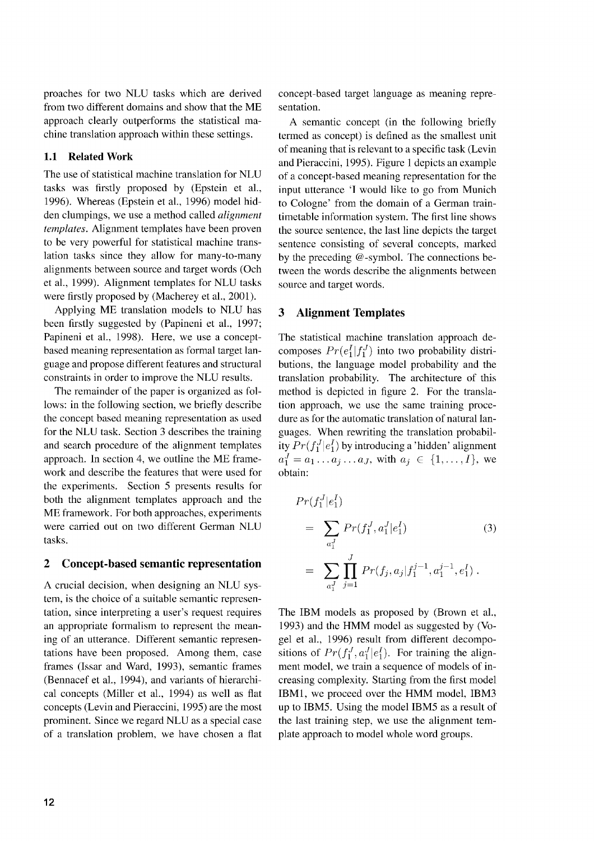proaches for two NLU tasks which are derived from two different domains and show that the ME approach clearly outperforms the statistical machine translation approach within these settings.

# 1.1 Related Work

The use of statistical machine translation for NLU tasks was firstly proposed by (Epstein et al., 1996). Whereas (Epstein et al., 1996) model hidden clumpings, we use a method called *alignment templates.* Alignment templates have been proven to be very powerful for statistical machine translation tasks since they allow for many-to-many alignments between source and target words (Och et al., 1999). Alignment templates for NLU tasks were firstly proposed by (Macherey et al., 2001).

Applying ME translation models to NLU has been firstly suggested by (Papineni et al., 1997; Papineni et al., 1998). Here, we use a conceptbased meaning representation as formal target language and propose different features and structural constraints in order to improve the NLU results.

The remainder of the paper is organized as follows: in the following section, we briefly describe the concept based meaning representation as used for the NLU task. Section 3 describes the training and search procedure of the alignment templates approach. In section 4, we outline the ME framework and describe the features that were used for the experiments. Section 5 presents results for both the alignment templates approach and the ME framework. For both approaches, experiments were carried out on two different German NLU tasks.

#### **2 Concept-based semantic representation**

A crucial decision, when designing an NLU system, is the choice of a suitable semantic representation, since interpreting a user's request requires an appropriate formalism to represent the meaning of an utterance. Different semantic representations have been proposed. Among them, case frames (Issar and Ward, 1993), semantic frames (Bennacef et al., 1994), and variants of hierarchical concepts (Miller et al., 1994) as well as flat concepts (Levin and Pieraccini, 1995) are the most prominent. Since we regard NLU as a special case of a translation problem, we have chosen a flat concept-based target language as meaning representation.

A semantic concept (in the following briefly termed as concept) is defined as the smallest unit of meaning that is relevant to a specific task (Levin and Pieraccini, 1995). Figure 1 depicts an example of a concept-based meaning representation for the input utterance 'I would like to go from Munich to Cologne' from the domain of a German traintimetable information system. The first line shows the source sentence, the last line depicts the target sentence consisting of several concepts, marked by the preceding @ -symbol. The connections between the words describe the alignments between source and target words.

# **3 Alignment Templates**

The statistical machine translation approach decomposes  $Pr(e_1^I|f_1^J)$  into two probability distributions, the language model probability and the translation probability. The architecture of this method is depicted in figure 2. For the translation approach, we use the same training procedure as for the automatic translation of natural languages. When rewriting the translation probability  $Pr(f_1^J | e_1^I)$  by introducing a 'hidden' alignment<br>  $a_1^J = a_1 \dots a_j \dots a_J$ , with  $a_j \in \{1, \dots, I\}$ , we obtain:

$$
Pr(f_1^J | e_1^I)
$$
  
=  $\sum_{a_1^J} Pr(f_1^J, a_1^J | e_1^I)$  (3)  
=  $\sum_{a_1^J} \prod_{j=1}^J Pr(f_j, a_j | f_1^{j-1}, a_1^{j-1}, e_1^I).$ 

The IBM models as proposed by (Brown et al., 1993) and the HMM model as suggested by (Vogel et al., 1996) result from different decompositions of  $Pr(f_1^J, a_1^J | e_1^I)$ . For training the alignment model, we train a sequence of models of increasing complexity. Starting from the first model IBM1, we proceed over the HMM model, IBM3 up to IBMS. Using the model IBMS as a result of the last training step, we use the alignment template approach to model whole word groups.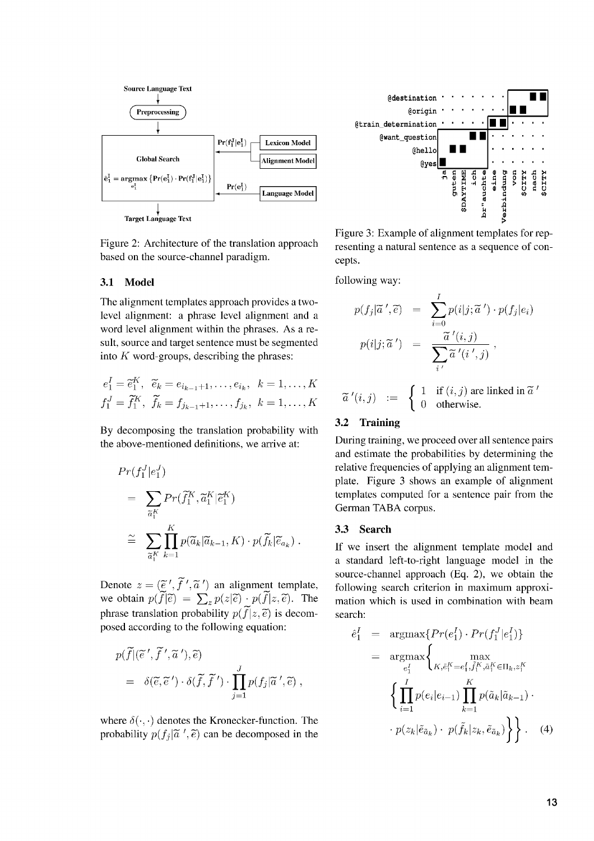

Figure 2: Architecture of the translation approach based on the source-channel paradigm.

# 3.1 Model

The alignment templates approach provides a twolevel alignment: a phrase level alignment and a word level alignment within the phrases. As a result, source and target sentence must be segmented into *K* word-groups, describing the phrases:

$$
e_1^I = \tilde{e}_1^K
$$
,  $\tilde{e}_k = e_{i_{k-1}+1}, \dots, e_{i_k}$ ,  $k = 1, \dots, K$   
 $f_1^J = \tilde{f}_1^K$ ,  $\tilde{f}_k = f_{j_{k-1}+1}, \dots, f_{j_k}$ ,  $k = 1, \dots, K$ 

By decomposing the translation probability with the above-mentioned definitions, we arrive at:

$$
Pr(f_1^J | e_1^J)
$$
  
= 
$$
\sum_{\tilde{a}_1^K} Pr(\tilde{f}_1^K, \tilde{a}_1^K | \tilde{e}_1^K)
$$
  

$$
\cong \sum_{\tilde{a}_1^K} \prod_{k=1}^K p(\tilde{a}_k | \tilde{a}_{k-1}, K) \cdot p(\tilde{f}_k | \tilde{e}_{a_k}).
$$

Denote  $z = (\tilde{e}', \tilde{f}', \tilde{a}')$  an alignment template, we obtain  $p(\tilde{f}|\tilde{e}) = \sum_{z} p(z|\tilde{e}) \cdot p(\tilde{f}|z,\tilde{e})$ . The phrase translation probability  $p(\tilde{f}|z,\tilde{e})$  is decomposed according to the following equation:

$$
p(\widetilde{f}|(\widetilde{e}', \widetilde{f}', \widetilde{a}'), \widetilde{e})
$$
  
=  $\delta(\widetilde{e}, \widetilde{e}') \cdot \delta(\widetilde{f}, \widetilde{f}') \cdot \prod_{j=1}^{J} p(f_j|\widetilde{a}', \widetilde{e}),$ 

where  $\delta(\cdot, \cdot)$  denotes the Kronecker-function. The probability  $p(f_i|\tilde{a}', \tilde{e})$  can be decomposed in the



Figure 3: Example of alignment templates for representing a natural sentence as a sequence of concepts.

following way:

$$
p(f_j|\tilde{a}',\tilde{e}) = \sum_{i=0}^{I} p(i|j;\tilde{a}') \cdot p(f_j|e_i)
$$

$$
p(i|j;\tilde{a}') = \frac{\tilde{a}'(i,j)}{\sum_{i'} \tilde{a}'(i',j)},
$$

 $\widetilde{a}^{\prime}(i,j)$  :=  $\begin{cases} 1 & \text{if } (i,j) \text{ are linked in } \widetilde{a} \\ 0 & \text{otherwise.} \end{cases}$ 

# 3.2 Training

During training, we proceed over all sentence pairs and estimate the probabilities by determining the relative frequencies of applying an alignment template. Figure 3 shows an example of alignment templates computed for a sentence pair from the German TABA corpus.

#### 3.3 Search

If we insert the alignment template model and a standard left-to-right language model in the source-channel approach (Eq. 2), we obtain the following search criterion in maximum approximation which is used in combination with beam search:

$$
\hat{e}_{1}^{I} = \underset{e_{1}^{I}}{\operatorname{argmax}} \{ Pr(e_{1}^{I}) \cdot Pr(f_{1}^{J}|e_{1}^{I}) \}
$$
\n
$$
= \underset{e_{1}^{I}}{\operatorname{argmax}} \{ \underset{K, \tilde{e}_{1}^{K} = e_{1}^{I}, \tilde{j}_{1}^{K}, \tilde{a}_{1}^{K} \in \Pi_{k}, z_{1}^{K} \}
$$
\n
$$
\{ \prod_{i=1}^{I} p(e_{i}|e_{i-1}) \prod_{k=1}^{K} p(\tilde{a}_{k}|\tilde{a}_{k-1}) \cdot p(z_{k}|\tilde{e}_{\tilde{a}_{k}}) \cdot p(\tilde{f}_{k}|z_{k}, \tilde{e}_{\tilde{a}_{k}}) \} \}.
$$
\n(4)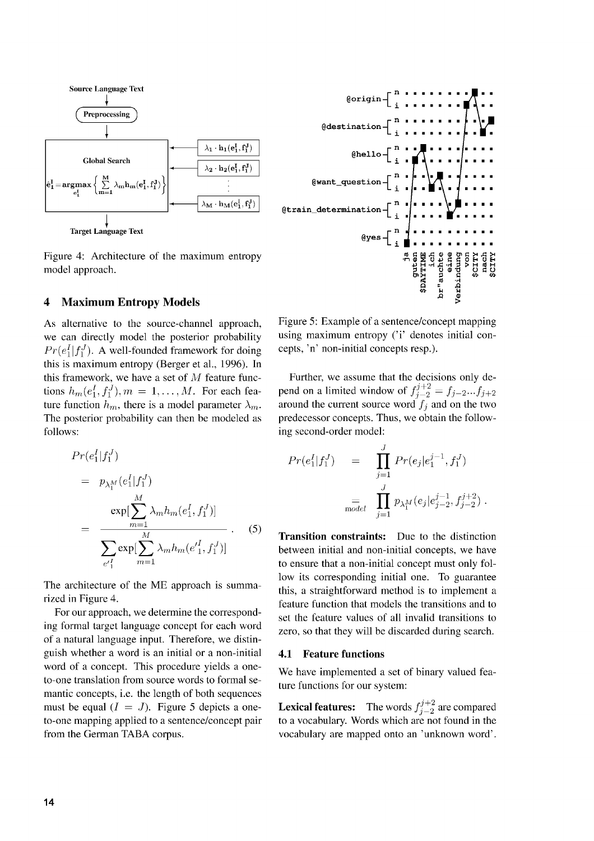

Figure 4: Architecture of the maximum entropy model approach.

### **4 Maximum Entropy Models**

As alternative to the source-channel approach, we can directly model the posterior probability  $Pr(e_1^I|f_1^J)$ . A well-founded framework for doing this is maximum entropy (Berger et al., 1996). In this framework, we have a set of  $M$  feature functions  $h_m(e_1^I, f_1^J), m = 1, ..., M$ . For each feature function  $h_m$ , there is a model parameter  $\lambda_m$ . The posterior probability can then be modeled as follows:

$$
Pr(e_1^I | f_1^J) = p_{\lambda_1^M}(e_1^I | f_1^J) = \frac{\exp[\sum_{m=1}^M \lambda_m h_m(e_1^I, f_1^J)]}{\sum_{e'_{1}^I} \exp[\sum_{m=1}^M \lambda_m h_m(e'_{1}^I, f_1^J)]}.
$$
 (5)

The architecture of the ME approach is summarized in Figure 4.

For our approach, we determine the corresponding formal target language concept for each word of a natural language input. Therefore, we distinguish whether a word is an initial or a non-initial word of a concept. This procedure yields a oneto-one translation from source words to formal semantic concepts, i.e. the length of both sequences must be equal  $(I = J)$ . Figure 5 depicts a oneto-one mapping applied to a sentence/concept pair from the German TABA corpus.



Figure 5: Example of a sentence/concept mapping using maximum entropy ('i' denotes initial concepts, 'n' non-initial concepts resp.).

Further, we assume that the decisions only depend on a limited window of  $f_{j-2}^{j+2} = f_{j-2}...f_{j+2}$ around the current source word  $f_j$  and on the two predecessor concepts. Thus, we obtain the following second-order model:

$$
Pr(e_1^I|f_1^J) = \prod_{j=1}^J Pr(e_j|e_1^{j-1}, f_1^J)
$$
  
= 
$$
\prod_{\text{model}}^J p_{\lambda_1^M}(e_j|e_{j-2}^{j-1}, f_{j-2}^{j+2}).
$$

**Transition constraints:** Due to the distinction between initial and non-initial concepts, we have to ensure that a non-initial concept must only follow its corresponding initial one. To guarantee this, a straightforward method is to implement a feature function that models the transitions and to set the feature values of all invalid transitions to zero, so that they will be discarded during search.

#### **4.1 Feature functions**

We have implemented a set of binary valued feature functions for our system:

**Lexical features:** The words  $f_{i-2}^{j+2}$  are compared to a vocabulary. Words which are not found in the vocabulary are mapped onto an 'unknown word'.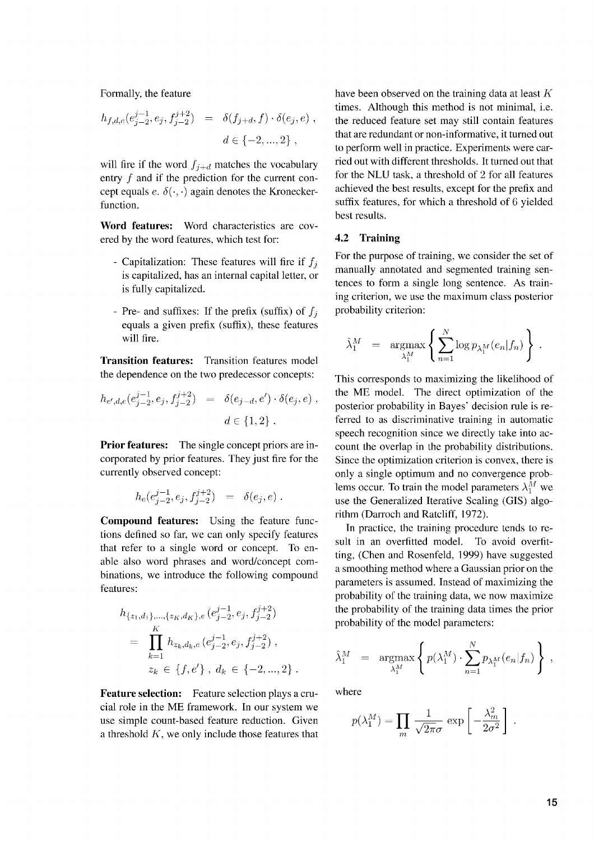Formally, the feature

$$
h_{f,d,e}(e_{j-2}^{j-1},e_j,f_{j-2}^{j+2}) = \delta(f_{j+d},f) \cdot \delta(e_j,e)
$$
  

$$
d \in \{-2,...,2\},
$$

will fire if the word  $f_{i+d}$  matches the vocabulary entry f and if the prediction for the current concept equals  $e. \delta(\cdot, \cdot)$  again denotes the Kroneckerfunction.

**Word features:** Word characteristics are covered by the word features, which test for:

- Capitalization: These features will fire if  $f_i$ is capitalized, has an internal capital letter, or is fully capitalized.
- Pre- and suffixes: If the prefix (suffix) of  $f_i$ equals a given prefix (suffix), these features will fire.

**Transition features:** Transition features model the dependence on the two predecessor concepts:

$$
h_{e',d,e}(e_{j-2}^{j-1},e_j,f_{j-2}^{j+2}) = \delta(e_{j-d},e') \cdot \delta(e_j,e)
$$
  

$$
d \in \{1,2\}.
$$

**Prior features:** The single concept priors are incorporated by prior features. They just fire for the currently observed concept:

$$
h_e(e_{j-2}^{j-1},e_j,f_{j-2}^{j+2})\ =\ \delta(e_j,e)\ .
$$

**Compound features:** Using the feature functions defined so far, we can only specify features that refer to a single word or concept. To enable also word phrases and word/concept combinations, we introduce the following compound features:

$$
h_{\{z_1,d_1\},\ldots,\{z_K,d_K\},e} (e_{j-2}^{j-1},e_j,f_{j-2}^{j+2})
$$
  
= 
$$
\prod_{k=1}^K h_{z_k,d_k,e} (e_{j-2}^{j-1},e_j,f_{j-2}^{j+2}),
$$
  

$$
z_k \in \{f,e'\}, d_k \in \{-2,\ldots,2\}.
$$

**Feature selection:** Feature selection plays a crucial role in the ME framework. In our system we use simple count-based feature reduction. Given a threshold *K,* we only include those features that have been observed on the training data at least *K* times. Although this method is not minimal, i.e. the reduced feature set may still contain features that are redundant or non-informative, it turned out to perform well in practice. Experiments were carried out with different thresholds. It turned out that for the NLU task, a threshold of 2 for all features achieved the best results, except for the prefix and suffix features, for which a threshold of 6 yielded best results.

#### **4.2 Training**

For the purpose of training, we consider the set of manually annotated and segmented training sentences to form a single long sentence. As training criterion, we use the maximum class posterior probability criterion:

$$
\hat{\lambda}_1^M = \mathop{\rm argmax}_{\lambda_1^M} \left\{ \sum_{n=1}^N \log p_{\lambda_1^M}(e_n|f_n) \right\}.
$$

This corresponds to maximizing the likelihood of the ME model. The direct optimization of the posterior probability in Bayes' decision rule is referred to as discriminative training in automatic speech recognition since we directly take into account the overlap in the probability distributions. Since the optimization criterion is convex, there is only a single optimum and no convergence problems occur. To train the model parameters  $\lambda_1^M$  we use the Generalized Iterative Scaling (GIS) algorithm (Darroch and Ratcliff, 1972).

In practice, the training procedure tends to result in an overfitted model. To avoid overfitting, (Chen and Rosenfeld, 1999) have suggested a smoothing method where a Gaussian prior on the parameters is assumed. Instead of maximizing the probability of the training data, we now maximize the probability of the training data times the prior probability of the model parameters:

$$
\hat{\lambda}_1^M = \mathop{\rm argmax}_{\lambda_1^M} \left\{ p(\lambda_1^M) \cdot \sum_{n=1}^N p_{\lambda_1^M}(e_n|f_n) \right\} \,,
$$

where

$$
p(\lambda_1^M) = \prod_m \frac{1}{\sqrt{2\pi}\sigma} \exp \left[-\frac{\lambda_m^2}{2\sigma^2}\right].
$$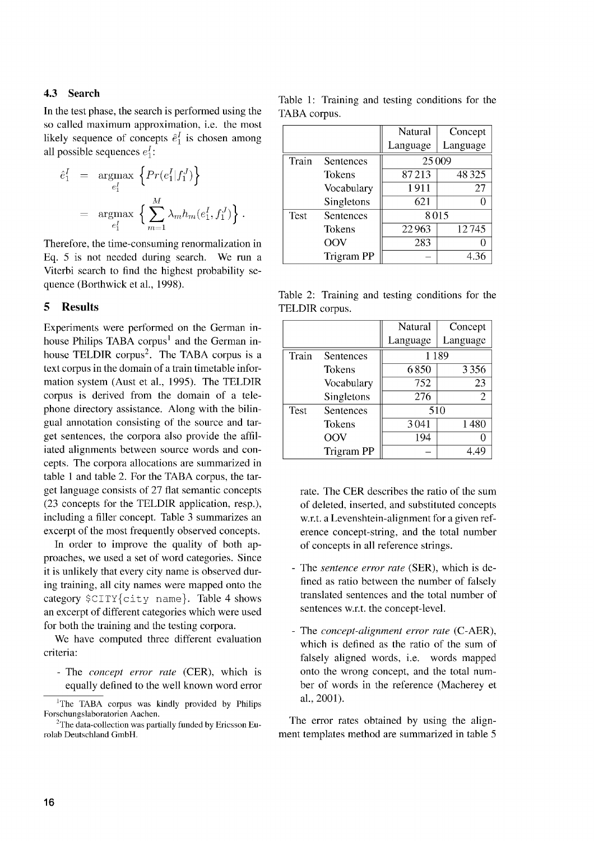# 4.3 Search

In the test phase, the search is performed using the so called maximum approximation, i.e. the most likely sequence of concepts  $\hat{e}_1^I$  is chosen among all possible sequences  $e_1^I$ :

$$
\begin{array}{lcl} \hat{e}^I_1 & = & \displaystyle \operatorname*{argmax}_{e^I_1} \ \left\{ \begin{aligned} & Pr(e^I_1|f^J_1) \right\} \\ & = & \displaystyle \operatorname*{argmax}_{e^I_1} \ \left\{ \sum_{m=1}^M \lambda_m h_m(e^I_1, f^J_1) \right\}. \end{aligned} \end{array}
$$

Therefore, the time-consuming renormalization in Eq. 5 is not needed during search. We run a Viterbi search to find the highest probability sequence (Borthwick et al., 1998).

#### 5 Results

Experiments were performed on the German inhouse Philips TABA corpus<sup>1</sup> and the German inhouse TELDIR corpus<sup>2</sup>. The TABA corpus is a text corpus in the domain of a train timetable information system (Aust et al., 1995). The TELDIR corpus is derived from the domain of a telephone directory assistance. Along with the bilingual annotation consisting of the source and target sentences, the corpora also provide the affiliated alignments between source words and concepts. The corpora allocations are summarized in table 1 and table 2. For the TABA corpus, the target language consists of 27 flat semantic concepts (23 concepts for the TELDIR application, resp.), including a filler concept. Table 3 summarizes an excerpt of the most frequently observed concepts.

In order to improve the quality of both approaches, we used a set of word categories. Since it is unlikely that every city name is observed during training, all city names were mapped onto the category  $\text{STTY}$  (city name). Table 4 shows an excerpt of different categories which were used for both the training and the testing corpora.

We have computed three different evaluation criteria:

- The *concept error rate* (CER), which is equally defined to the well known word error

Table 1: Training and testing conditions for the TABA corpus.

|       |                   | Natural  | Concept  |
|-------|-------------------|----------|----------|
|       |                   | Language | Language |
| Train | Sentences         |          | 25009    |
|       | Tokens            | 87213    | 48325    |
|       | Vocabulary        | 1911     | 27       |
|       | Singletons        | 621      |          |
| Test  | Sentences         |          | 8015     |
|       | Tokens            | 22963    | 12745    |
|       | OOV               | 283      |          |
|       | <b>Trigram PP</b> |          | 4.36     |

Table 2: Training and testing conditions for the TELDIR corpus.

|             |               | Natural  | Concept  |  |
|-------------|---------------|----------|----------|--|
|             |               | Language | Language |  |
| Train       | Sentences     | 1189     |          |  |
|             | <b>Tokens</b> | 6850     | 3356     |  |
|             | Vocabulary    | 752      | 23       |  |
|             | Singletons    | 276      | 2        |  |
| <b>Test</b> | Sentences     | 510      |          |  |
|             | Tokens        | 3041     | 1480     |  |
|             | OOV           | 194      |          |  |
|             | Trigram PP    |          | 4.49     |  |

rate. The CER describes the ratio of the sum of deleted, inserted, and substituted concepts w.r.t. a Levenshtein-alignment for a given reference concept-string, and the total number of concepts in all reference strings.

- The *sentence error rate* (SER), which is defined as ratio between the number of falsely translated sentences and the total number of sentences w.r.t. the concept-level.
- The *concept-alignment error rate* (C-AER), which is defined as the ratio of the sum of falsely aligned words, i.e. words mapped onto the wrong concept, and the total number of words in the reference (Macherey et al., 2001).

The error rates obtained by using the alignment templates method are summarized in table 5

<sup>&#</sup>x27;The TABA corpus was kindly provided by Philips Forschungslaboratorien Aachen.

<sup>&</sup>lt;sup>2</sup>The data-collection was partially funded by Ericsson Eurolab Deutschland GmbH.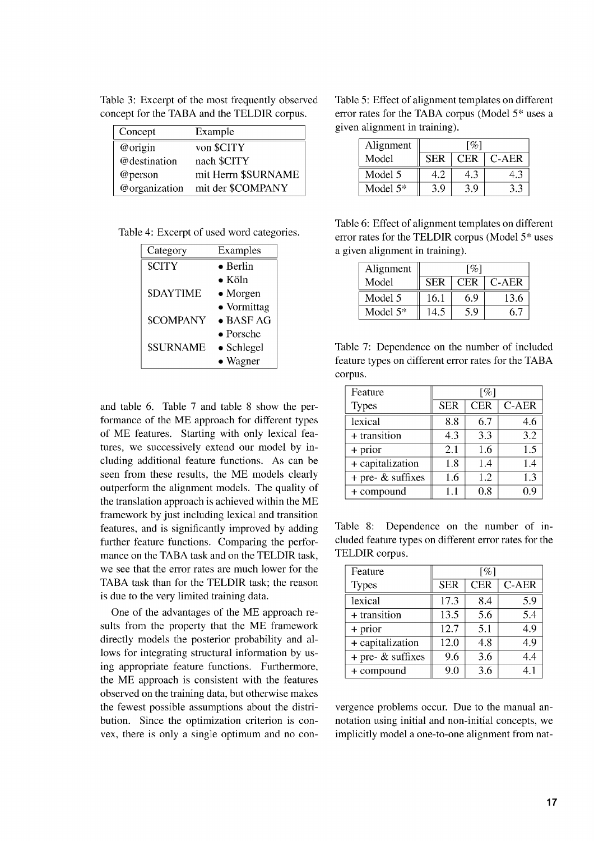| Concept       | Example             |
|---------------|---------------------|
| @origin       | von \$CITY          |
| @destination  | nach \$CITY         |
| @person       | mit Herrn \$SURNAME |
| @organization | mit der \$COMPANY   |

Table 3: Excerpt of the most frequently observed concept for the TABA and the TELDIR corpus.

| Table 4: Excerpt of used word categories. |  |  |  |  |
|-------------------------------------------|--|--|--|--|
|-------------------------------------------|--|--|--|--|

| Category         | Examples          |
|------------------|-------------------|
| \$CITY           | $\bullet$ Berlin  |
|                  | $\bullet$ Köln    |
| \$DAYTIME        | $\bullet$ Morgen  |
|                  | • Vormittag       |
| <b>\$COMPANY</b> | $\bullet$ BASF AG |
|                  | $\bullet$ Porsche |
| <b>\$SURNAME</b> | • Schlegel        |
|                  | • Wagner          |

and table 6. Table 7 and table 8 show the performance of the ME approach for different types of ME features. Starting with only lexical features, we successively extend our model by including additional feature functions. As can be seen from these results, the ME models clearly outperform the alignment models. The quality of the translation approach is achieved within the ME framework by just including lexical and transition features, and is significantly improved by adding further feature functions. Comparing the performance on the TABA task and on the TELDIR task, we see that the error rates are much lower for the TABA task than for the TELDIR task; the reason is due to the very limited training data.

One of the advantages of the ME approach results from the property that the ME framework directly models the posterior probability and allows for integrating structural information by using appropriate feature functions. Furthermore, the ME approach is consistent with the features observed on the training data, but otherwise makes the fewest possible assumptions about the distribution. Since the optimization criterion is convex, there is only a single optimum and no con-

Table 5: Effect of alignment templates on different error rates for the TABA corpus (Model 5\* uses a given alignment in training)

| Alignment   | [%]        |     |         |  |
|-------------|------------|-----|---------|--|
| Model       | <b>SER</b> | CER | $C-AER$ |  |
| Model 5     | 49         |     |         |  |
| Model $5^*$ | 3.9        | ţG  |         |  |

Table 6: Effect of alignment templates on different error rates for the TELDIR corpus (Model 5\* uses a given alignment in training)

| Alignment  | $\lceil \% \rceil$ |            |       |  |
|------------|--------------------|------------|-------|--|
| Model      | <b>SER</b>         | <b>CER</b> | C-AER |  |
| Model 5    | 16.1               | 6.9        | 13.6  |  |
| Model $5*$ | 14.5               | 5.9        | 65    |  |

Table 7: Dependence on the number of included feature types on different error rates for the TABA corpus.

| Feature                | $\lceil \% \rceil$ |            |       |
|------------------------|--------------------|------------|-------|
| <b>Types</b>           | <b>SER</b>         | <b>CER</b> | C-AER |
| lexical                | 8.8                | 6.7        | 4.6   |
| + transition           | 4.3                | 3.3        | 3.2   |
| + prior                | 2.1                | 1.6        | 1.5   |
| + capitalization       | 1.8                | 1.4        | 1.4   |
| $+$ pre- $\&$ suffixes | 1.6                | 1.2        | 1.3   |
| + compound             | $1.1\,$            | 0.8        | 0.9   |

Table 8: Dependence on the number of included feature types on different error rates for the TELDIR corpus.

| Feature                | [%]        |            |              |
|------------------------|------------|------------|--------------|
| <b>Types</b>           | <b>SER</b> | <b>CER</b> | <b>C-AER</b> |
| lexical                | 17.3       | 8.4        | 5.9          |
| + transition           | 13.5       | 5.6        | 5.4          |
| + prior                | 12.7       | 5.1        | 4.9          |
| + capitalization       | 12.0       | 4.8        | 4.9          |
| $+$ pre- $\&$ suffixes | 9.6        | 3.6        | 4.4          |
| + compound             | 9.0        | 3.6        | 4.1          |

vergence problems occur. Due to the manual annotation using initial and non-initial concepts, we implicitly model a one-to-one alignment from nat